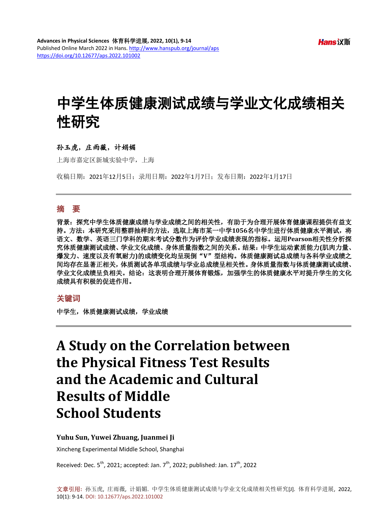# 中学生体质健康测试成绩与学业文化成绩相关 性研究

## 孙玉虎,庄雨薇,计娟媚

上海市嘉定区新城实验中学,上海

收稿日期:2021年12月5日;录用日期:2022年1月7日;发布日期:2022年1月17日

## 摘 要

背景: 探究中学生体质健康成绩与学业成绩之间的相关性, 有助于为合理开展体育健康课程提供有益支 持。方法:本研究采用整群抽样的方法,选取上海市某一中学**1056**名中学生进行体质健康水平测试,将 语文、数学、英语三门学科的期末考试分数作为评价学业成绩表现的指标。运用**Pearson**相关性分析探 究体质健康测试成绩、学业文化成绩、身体质量指数之间的关系。结果:中学生运动素质能力**(**肌肉力量、 爆发力、速度以及有氧耐力**)**的成绩变化均呈现倒"**V**"型结构。体质健康测试总成绩与各科学业成绩之 间均存在显著正相关,体质测试各单项成绩与学业总成绩呈相关性。身体质量指数与体质健康测试成绩、 学业文化成绩呈负相关。结论:这表明合理开展体育锻炼,加强学生的体质健康水平对提升学生的文化 成绩具有积极的促进作用。

#### 关键词

中学生,体质健康测试成绩,学业成绩

## **A Study on the Correlation between the Physical Fitness Test Results and the Academic and Cultural Results of Middle School Students**

#### **Yuhu Sun, Yuwei Zhuang, Juanmei Ji**

Xincheng Experimental Middle School, Shanghai

Received: Dec.  $5^{\text{th}}$ , 2021; accepted: Jan.  $7^{\text{th}}$ , 2022; published: Jan.  $17^{\text{th}}$ , 2022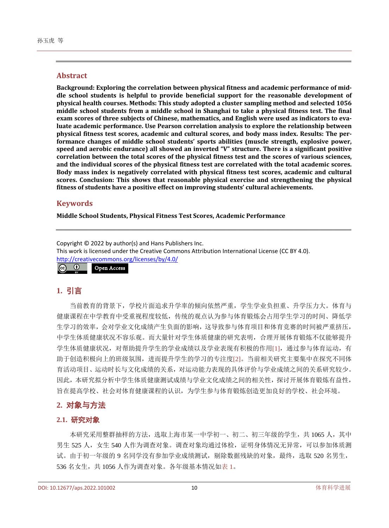#### **Abstract**

**Background: Exploring the correlation between physical fitness and academic performance of middle school students is helpful to provide beneficial support for the reasonable development of physical health courses. Methods: This study adopted a cluster sampling method and selected 1056 middle school students from a middle school in Shanghai to take a physical fitness test. The final exam scores of three subjects of Chinese, mathematics, and English were used as indicators to evaluate academic performance. Use Pearson correlation analysis to explore the relationship between physical fitness test scores, academic and cultural scores, and body mass index. Results: The performance changes of middle school students' sports abilities (muscle strength, explosive power, speed and aerobic endurance) all showed an inverted "V" structure. There is a significant positive correlation between the total scores of the physical fitness test and the scores of various sciences, and the individual scores of the physical fitness test are correlated with the total academic scores. Body mass index is negatively correlated with physical fitness test scores, academic and cultural scores. Conclusion: This shows that reasonable physical exercise and strengthening the physical fitness of students have a positive effect on improving students' cultural achievements.**

## **Keywords**

**Middle School Students, Physical Fitness Test Scores, Academic Performance**

Copyright © 2022 by author(s) and Hans Publishers Inc. This work is licensed under the Creative Commons Attribution International License (CC BY 4.0). <http://creativecommons.org/licenses/by/4.0/>  $\odot$ Open Access $\sqrt{cc}$ 

## **1.** 引言

当前教育的背景下,学校片面追求升学率的倾向依然严重,学生学业负担重、升学压力大。体育与 健康课程在中学教育中受重视程度较低,传统的观点认为参与体育锻炼会占用学生学习的时间、降低学 生学习的效率,会对学业文化成绩产生负面的影响,这导致参与体育项目和体育竞赛的时间被严重挤压, 中学生体质健康状况不容乐观。而大量针对学生体质健康的研究表明,合理开展体育锻炼不仅能够提升 学生体质健康状况,对帮助提升学生的学业成绩以及学业表现有积极的作用[\[1\]](#page-4-0),通过参与体育运动,有 助于创造积极向上的班级氛围,进而提升学生的学习的专注度[\[2\]](#page-5-0)。当前相关研究主要集中在探究不同体 育活动项目、运动时长与文化成绩的关系,对运动能力表现的具体评价与学业成绩之间的关系研究较少。 因此,本研究拟分析中学生体质健康测试成绩与学业文化成绩之间的相关性,探讨开展体育锻炼有益性, 旨在提高学校、社会对体育健康课程的认识,为学生参与体育锻炼创造更加良好的学校、社会环境。

## **2.** 对象与方法

#### **2.1.** 研究对象

本研究采用整群抽样的方法,选取上海市某一中学初一、初二、初三年级的学生,共 1065 人, 其中 男生 525 人, 女生 540 人作为调查对象。调查对象均通过体检,证明身体情况无异常,可以参加体质测 试。由于初一年级的 9 名同学没有参加学业成绩测试, 剔除数据残缺的对象, 最终, 选取 520 名男生, 536 名女生, 共 1056 人作为调查对象。各年级基本情况[如表](#page-2-0) 1。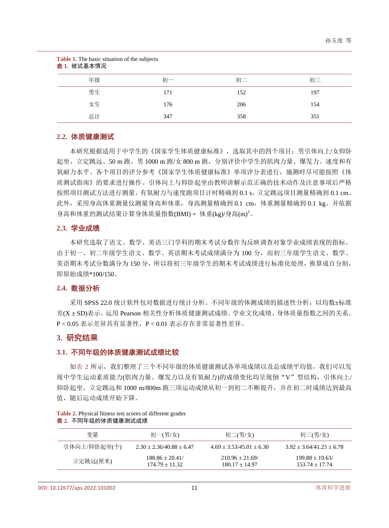<span id="page-2-0"></span>

| Table 1. The basic situation of the subjects<br>表 1. 被试基本情况 |     |     |     |
|-------------------------------------------------------------|-----|-----|-----|
| 年级                                                          | 初一  | 初二  | 初三  |
| 男生                                                          | 171 | 152 | 197 |
| 女生                                                          | 176 | 206 | 154 |
| 总计                                                          | 347 | 358 | 351 |

#### **2.2.** 体质健康测试

本研究根据适用于中学生的《国家学生体质健康标准》,选取其中的四个项目:男引体向上/女仰卧 起坐、立定跳远、50 m 跑、男 1000 m 跑/女 800 m 跑, 分别评价中学生的肌肉力量、爆发力、速度和有 氧耐力水平。各个项目的评分参考《国家学生体质健康标准》单项评分表进行,施测时尽可能按照《体 质测试指南》的要求进行操作。引体向上与仰卧起坐由教师讲解示范正确的技术动作及注意事项后严格 按照项目测试方法进行测量。有氧耐力与速度跑项目计时精确到 0.1 s。立定跳远项目测量精确到 0.1 cm。 此外,采用身高体重测量仪测量身高和体重,身高测量精确到 0.1 cm,体重测量精确到 0.1 kg。并依据 身高和体重的测试结果计算身体质量指数(BMI) = 体重(kg)/身高(m)<sup>2</sup>。

#### **2.3.** 学业成绩

本研究选取了语文、数学、英语三门学科的期末考试分数作为反映调查对象学业成绩表现的指标。 由于初一、初二年级学生语文、数学、英语期末考试成绩满分为 100 分,而初三年级学生语文、数学、 英语期末考试分数满分为150分,所以将初三年级学生的期末考试成绩进行标准化处理,换算成百分制, 即原始成绩\*100/150。

#### **2.4.** 数据分析

采用 SPSS 22.0 统计软件包对数据进行统计分析。不同年级的体测成绩的描述性分析,以均数±标准 差(X ± SD)表示。运用 Pearson 相关性分析体质健康测试成绩、学业文化成绩、身体质量指数之间的关系。 P < 0.05 表示差异具有显著性,P < 0.01 表示存在非常显著性差异。

#### **3.** 研究结果

## **3.1.** 不同年级的体质健康测试成绩比较

[如表](#page-2-1) 2 所示, 我们整理了三个不同年级的体质健康测试各单项成绩以及总成绩平均值, 我们可以发 现中学生运动素质能力(肌肉力量、爆发力以及有氧耐力)的成绩变化均呈现倒"V"型结构,引体向上/ 仰卧起坐、立定跳远和 1000 m/800m 跑三项运动成绩从初一到初二不断提升,并在初二时成绩达到最高 值,随后运动成绩开始下降。

<span id="page-2-1"></span>

|  | Table 2. Physical fitness test scores of different grades |  |
|--|-----------------------------------------------------------|--|
|  | <b>表 2.</b> 不同年级的体质健康测试成绩                                 |  |

| 变量           | 初一(男/女)                              | 初二(男/女)                              | 初三(男/女)                              |
|--------------|--------------------------------------|--------------------------------------|--------------------------------------|
| 引体向上/仰卧起坐(个) | $2.30 + 2.36/40.88 + 6.47$           | $4.69 + 3.53/45.01 + 6.30$           | $3.92 + 3.64/41.25 + 6.78$           |
| 立定跳远(厘米)     | $188.86 + 20.41$<br>$174.79 + 11.32$ | $210.96 + 21.69$<br>$180.17 + 14.97$ | $199.88 + 19.63$<br>$153.74 + 17.74$ |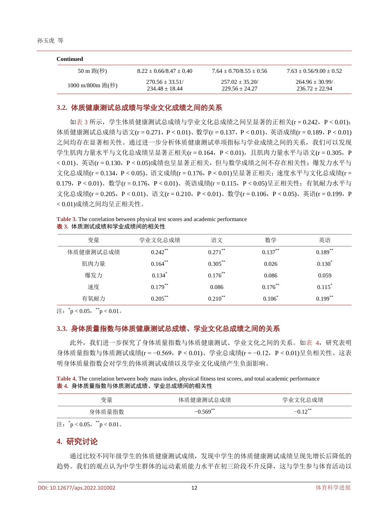| Continued        |                                       |                                       |                                      |
|------------------|---------------------------------------|---------------------------------------|--------------------------------------|
| 50 m 跑(秒)        | $8.22 + 0.66/8.47 + 0.40$             | $7.64 + 0.70/8.55 + 0.56$             | $7.63 + 0.56/9.00 + 0.52$            |
| 1000 m/800m 跑(秒) | $270.56 + 33.51/$<br>$234.48 + 18.44$ | $257.02 + 35.20/$<br>$229.56 + 24.27$ | $264.96 + 30.99$<br>$236.72 + 22.94$ |

## **3.2.** 体质健康测试总成绩与学业文化成绩之间的关系

[如表](#page-3-0) 3 所示, 学生体质健康测试总成绩与学业文化总成绩之间呈显著的正相关(r = 0.242, P < 0.01); 体质健康测试总成绩与语文(r = 0.271, P < 0.01)、数学(r = 0.137, P < 0.01)、英语成绩(r = 0.189, P < 0.01) 之间均存在显著相关性。通过进一步分析体质健康测试单项指标与学业成绩之间的关系,我们可以发现 学生肌肉力量水平与文化总成绩呈显著正相关(r = 0.164, P < 0.01), 且肌肉力量水平与语文(r = 0.305, P < 0.01)、英语(r = 0.130, P < 0.05)成绩也呈显著正相关,但与数学成绩之间不存在相关性;爆发力水平与 文化总成绩(r = 0.134, P < 0.05)、语文成绩(r = 0.176, P < 0.01)呈显著正相关;速度水平与文化总成绩(r = 0.179,P < 0.01)、数学(r = 0.176,P < 0.01)、英语成绩(r = 0.115,P < 0.05)呈正相关性;有氧耐力水平与 文化总成绩(r = 0.205, P < 0.01)、语文(r = 0.210, P < 0.01)、数学(r = 0.106, P < 0.05)、英语(r = 0.199, P < 0.01)成绩之间均呈正相关性。

<span id="page-3-0"></span>**Table 3.** The correlation between physical test scores and academic performance 表 **3.** 体质测试成绩和学业成绩间的相关性

| 变量        | 学业文化总成绩    | 语文           | 数学         | 英语          |
|-----------|------------|--------------|------------|-------------|
| 体质健康测试总成绩 | $0.242$ ** | $0.271$ **   | $0.137***$ | $0.189***$  |
| 肌肉力量      | $0.164***$ | $0.305***$   | 0.026      | $0.130^{*}$ |
| 爆发力       | 0.134      | $0.176$ **   | 0.086      | 0.059       |
| 速度        | $0.179***$ | 0.086        | $0.176$ ** | $0.115^*$   |
| 有氧耐力      | $0.205***$ | $0.210^{**}$ | $0.106^*$  | $0.199***$  |

注: \*p < 0.05, \*\*p < 0.01。

## **3.3.** 身体质量指数与体质健康测试总成绩、学业文化总成绩之间的关系

此外,我们进一步探究了身体质量指数与体质健康测试、学业文化之间的关系。[如表](#page-3-1) 4,研究表明 身体质量指数与体质测试成绩(r = −0.569,P < 0.01)、学业总成绩(r = −0.12,P < 0.01)呈负相关性。这表 明身体质量指数会对学生的体质测试成绩以及学业文化成绩产生负面影响。

<span id="page-3-1"></span>**Table 4.** The correlation between body mass index, physical fitness test scores, and total academic performance 表 **4.** 身体质量指数与体质测试成绩、学业总成绩间的相关性

| 变量     | 体质健康测试总成绩 | 总成绩<br>- 字业二   |
|--------|-----------|----------------|
| 身体质量指数 | $.569***$ | $10^{38}$<br>– |

注: \*p < 0.05, \*\*p < 0.01。

## **4.** 研究讨论

通过比较不同年级学生的体质健康测试成绩,发现中学生的体质健康测试成绩呈现先增长后降低的 趋势。我们的观点认为中学生群体的运动素质能力水平在初三阶段不升反降,这与学生参与体育活动以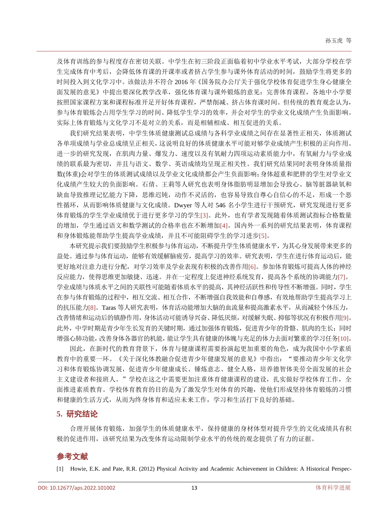及体育训练的参与程度存在密切关联。中学生在初三阶段正面临着初中学业水平考试,大部分学校在学 生完成体育中考后,会降低体育课的开课率或者挤占学生参与课外体育活动的时间,鼓励学生将更多的 时间投入到文化学习中。该做法并不符合 2016 年《国务院办公厅关于强化学校体育促进学生身心健康全 面发展的意见》中提出要深化教学改革,强化体育课与课外锻炼的意见:完善体育课程,各地中小学要 按照国家课程方案和课程标准开足开好体育课程,严禁削减、挤占体育课时间。但传统的教育观念认为, 参与体育锻炼会占用学生学习的时间、降低学生学习的效率,并会对学生的学业文化成绩产生负面影响。 实际上体育锻炼与文化学习不是对立的关系,而是相辅相成、相互促进的关系。

我们研究结果表明,中学生体质健康测试总成绩与各科学业成绩之间存在显著性正相关,体质测试 各单项成绩与学业总成绩呈正相关,这说明良好的体质健康水平可能对够学业成绩产生积极的正向作用。 进一步的研究发现,在肌肉力量、爆发力、速度以及有氧耐力四项运动素质能力中,有氧耐力与学业成 绩的联系最为密切,并且与语文、数学、英语成绩均呈现正相关性。我们研究结果同时表明身体质量指 数(体重)会对学生的体质测试成绩以及学业文化成绩都会产生负面影响;身体超重和肥胖的学生对学业文 化成绩产生较大的负面影响。石倩、王莉等人研究也表明身体脂肪明显增加会导致心、脑等脏器缺氧和 缺血导致推理记忆能力下降,思维迟钝,动作不灵活的,也容易导致自尊心自信心的不足,形成一个恶 性循环,从而影响体质健康与文化成绩。Dwyer 等人对 546 名小学生进行干预研究,研究发现进行更多 体育锻炼的学生学业成绩优于进行更多学习的学生[\[3\]](#page-5-1)。此外,也有学者发现随着体质测试指标合格数量 的增加,学生通过语文和数学测试的合格率也在不断增加[\[4\]](#page-5-2)。国内外一系列的研究结果表明,体育课程 和身体锻炼能帮助学生提高学业成绩,并且不可能阻碍学生的学习进步[\[5\]](#page-5-3)。

本研究提示我们要鼓励学生积极参与体育运动,不断提升学生体质健康水平,为其心身发展带来更多的 益处。通过参与体育运动,能够有效缓解脑疲劳,提高学习的效率。研究表明,学生在进行体育运动后,能 更好地对注意力进行分配,对学习效率及学业表现有积极的改善作用[\[6\]](#page-5-4)。参加体育锻炼可提高人体的神经 反应能力,使得思维更加敏捷、迅速。并在一定程度上促进神经系统发育,提高各个系统的协调能力[\[7\]](#page-5-5)。 学业成绩与体质水平之间的关联性可能随着体质水平的提高,其神经活跃性和传导性不断增强。同时,学生 在参与体育锻炼的过程中,相互交流、相互合作,不断增强自我效能和自尊感,有效地帮助学生提高学习上 的抗压能力[\[8\]](#page-5-6)。Taras 等人研究表明,体育活动能增加大脑的血流量和提高激素水平,从而减轻个体压力, 改善情绪和运动后的镇静作用,身体活动可能诱导兴奋、降低厌烦,对缓解失眠、抑郁等状况有积极作用[\[9\]](#page-5-7)。 此外,中学时期是青少年生长发育的关键时期,通过加强体育锻炼,促进青少年的骨骼、肌肉的生长;同时 增强心肺功能,改善身体各器官的机能,能让学生具有健康的体魄与充足的体力去面对繁重的学习任务[\[10\]](#page-5-8)。

因此,在新时代的教育背景下,体育与健康课程需要扮演起更加重要的角色,成为我国中小学素质 教育中的重要一环。《关于深化体教融合促进青少年健康发展的意见》中指出: "要推动青少年文化学 习和体育锻炼协调发展,促进青少年健康成长、锤炼意志、健全人格,培养德智体美劳全面发展的社会 主义建设者和接班人。"学校在这之中需要更加注重体育健康课程的建设,扎实做好学校体育工作,全 面推进素质教育。学校体育教育的目的是为了激发学生对体育的兴趣,使他们形成坚持体育锻炼的习惯 和健康的生活方式,从而为终身体育和适应未来工作,学习和生活打下良好的基础。

## **5.** 研究结论

合理开展体育锻炼,加强学生的体质健康水平,保持健康的身材体型对提升学生的文化成绩具有积 极的促进作用,该研究结果为改变体育运动限制学业水平的传统的观念提供了有力的证据。

## 参考文献

<span id="page-4-0"></span>[1] Howie, E.K. and Pate, R.R. (2012) Physical Activity and Academic Achievement in Children: A Historical Perspec-